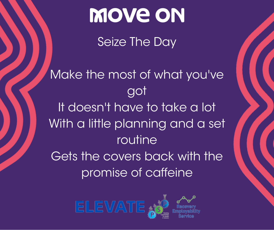Seize The Day

Make the most of what you've got It doesn't have to take a lot With a little planning and a set routine Gets the covers back with the promise of caffeine

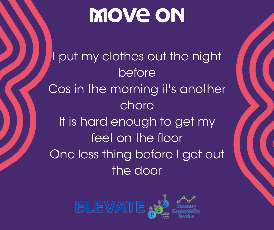I put my clothes out the night before Cos in the morning it's another chore It is hard enough to get my feet on the floor One less thing before I get out the door

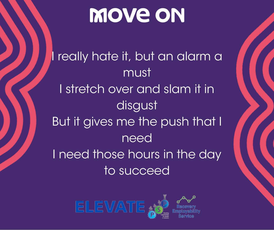really hate it, but an alarm a must I stretch over and slam it in disgust But it gives me the push that I need I need those hours in the day to succeed

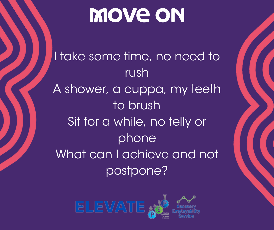I take some time, no need to rush A shower, a cuppa, my teeth to brush Sit for a while, no telly or phone What can I achieve and not postpone?

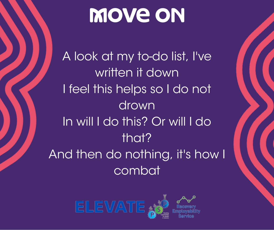A look at my to-do list, I've written it down I feel this helps so I do not drown In will I do this? Or will I do that? And then do nothing, it's how I combat